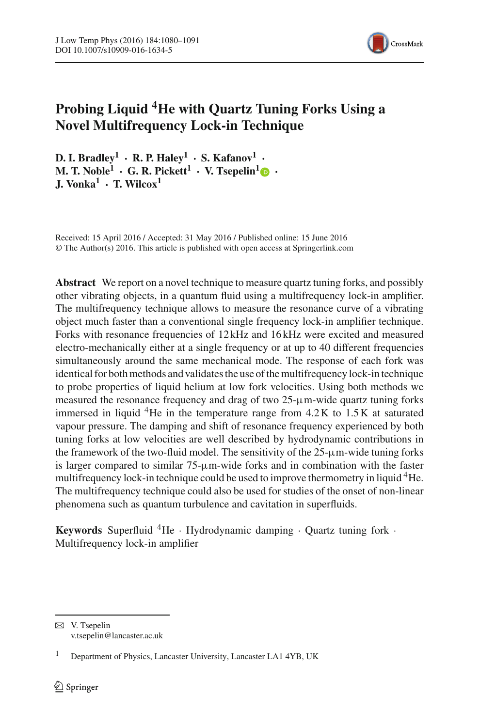

# **Probing Liquid 4He with Quartz Tuning Forks Using a Novel Multifrequency Lock-in Technique**

 $D. I. Bradlev<sup>1</sup> · R. P. Halev<sup>1</sup> · S. Kafanov<sup>1</sup> ·$ **M. T. Noble<sup>[1](http://orcid.org/0000-0001-9978-7832)</sup> <b>· G. R. Pickett<sup>1</sup> · <b>V. Tsepelin**<sup>1</sup>  $\bullet$  **· J. Vonka1 · T. Wilcox1**

Received: 15 April 2016 / Accepted: 31 May 2016 / Published online: 15 June 2016 © The Author(s) 2016. This article is published with open access at Springerlink.com

**Abstract** We report on a novel technique to measure quartz tuning forks, and possibly other vibrating objects, in a quantum fluid using a multifrequency lock-in amplifier. The multifrequency technique allows to measure the resonance curve of a vibrating object much faster than a conventional single frequency lock-in amplifier technique. Forks with resonance frequencies of 12 kHz and 16 kHz were excited and measured electro-mechanically either at a single frequency or at up to 40 different frequencies simultaneously around the same mechanical mode. The response of each fork was identical for both methods and validates the use of the multifrequency lock-in technique to probe properties of liquid helium at low fork velocities. Using both methods we measured the resonance frequency and drag of two 25-µm-wide quartz tuning forks immersed in liquid  ${}^{4}$ He in the temperature range from  $4.2$ K to  $1.5$ K at saturated vapour pressure. The damping and shift of resonance frequency experienced by both tuning forks at low velocities are well described by hydrodynamic contributions in the framework of the two-fluid model. The sensitivity of the  $25-\mu m$ -wide tuning forks is larger compared to similar  $75-\mu m$ -wide forks and in combination with the faster multifrequency lock-in technique could be used to improve thermometry in liquid <sup>4</sup>He. The multifrequency technique could also be used for studies of the onset of non-linear phenomena such as quantum turbulence and cavitation in superfluids.

**Keywords** Superfluid  ${}^4$ He · Hydrodynamic damping · Quartz tuning fork · Multifrequency lock-in amplifier

 $\boxtimes$  V. Tsepelin v.tsepelin@lancaster.ac.uk

<sup>1</sup> Department of Physics, Lancaster University, Lancaster LA1 4YB, UK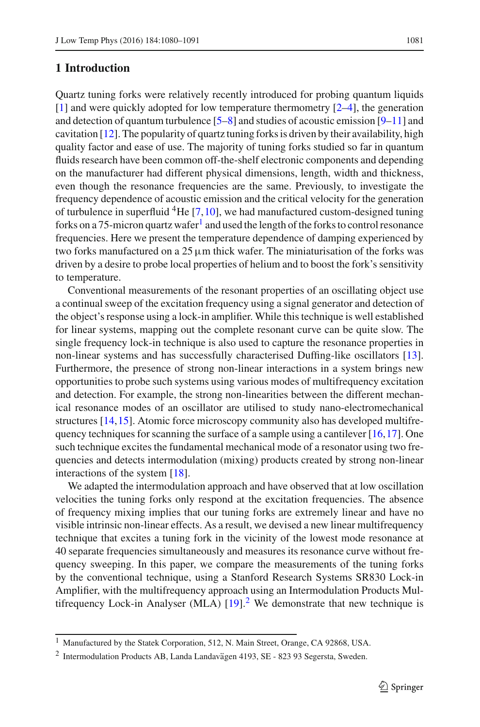## **1 Introduction**

to temperature.

Quartz tuning forks were relatively recently introduced for probing quantum liquids [\[1](#page-10-0)] and were quickly adopted for low temperature thermometry [\[2](#page-10-1)[–4](#page-10-2)], the generation and detection of quantum turbulence [\[5](#page-10-3)[–8](#page-11-0)] and studies of acoustic emission [\[9](#page-11-1)[–11\]](#page-11-2) and cavitation  $[12]$ . The popularity of quartz tuning forks is driven by their availability, high quality factor and ease of use. The majority of tuning forks studied so far in quantum fluids research have been common off-the-shelf electronic components and depending on the manufacturer had different physical dimensions, length, width and thickness, even though the resonance frequencies are the same. Previously, to investigate the frequency dependence of acoustic emission and the critical velocity for the generation of turbulence in superfluid  ${}^{4}$ He [\[7](#page-10-4)[,10](#page-11-4)], we had manufactured custom-designed tuning forks on a 75-micron quartz wafer<sup>[1](#page-1-0)</sup> and used the length of the forks to control resonance frequencies. Here we present the temperature dependence of damping experienced by two forks manufactured on a  $25 \mu m$  thick wafer. The miniaturisation of the forks was driven by a desire to probe local properties of helium and to boost the fork's sensitivity

Conventional measurements of the resonant properties of an oscillating object use a continual sweep of the excitation frequency using a signal generator and detection of the object's response using a lock-in amplifier. While this technique is well established for linear systems, mapping out the complete resonant curve can be quite slow. The single frequency lock-in technique is also used to capture the resonance properties in non-linear systems and has successfully characterised Duffing-like oscillators [\[13](#page-11-5)]. Furthermore, the presence of strong non-linear interactions in a system brings new opportunities to probe such systems using various modes of multifrequency excitation and detection. For example, the strong non-linearities between the different mechanical resonance modes of an oscillator are utilised to study nano-electromechanical structures [\[14](#page-11-6)[,15](#page-11-7)]. Atomic force microscopy community also has developed multifrequency techniques for scanning the surface of a sample using a cantilever  $[16, 17]$  $[16, 17]$  $[16, 17]$ . One such technique excites the fundamental mechanical mode of a resonator using two frequencies and detects intermodulation (mixing) products created by strong non-linear interactions of the system [\[18\]](#page-11-10).

We adapted the intermodulation approach and have observed that at low oscillation velocities the tuning forks only respond at the excitation frequencies. The absence of frequency mixing implies that our tuning forks are extremely linear and have no visible intrinsic non-linear effects. As a result, we devised a new linear multifrequency technique that excites a tuning fork in the vicinity of the lowest mode resonance at 40 separate frequencies simultaneously and measures its resonance curve without frequency sweeping. In this paper, we compare the measurements of the tuning forks by the conventional technique, using a Stanford Research Systems SR830 Lock-in Amplifier, with the multifrequency approach using an Intermodulation Products Multifrequency Lock-in Analyser (MLA)  $[19]$  $[19]$ <sup>[2](#page-1-1)</sup> We demonstrate that new technique is

<sup>1</sup> Manufactured by the Statek Corporation, 512, N. Main Street, Orange, CA 92868, USA.

<span id="page-1-1"></span><span id="page-1-0"></span> $2$  Intermodulation Products AB, Landa Landavägen 4193, SE - 823 93 Segersta, Sweden.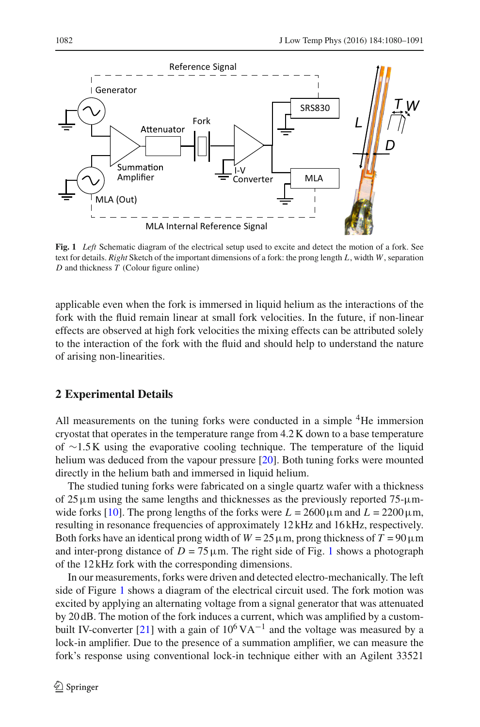

<span id="page-2-0"></span>**Fig. 1** *Left* Schematic diagram of the electrical setup used to excite and detect the motion of a fork. See text for details. *Right* Sketch of the important dimensions of a fork: the prong length *L*, width *W*, separation *D* and thickness *T* (Colour figure online)

applicable even when the fork is immersed in liquid helium as the interactions of the fork with the fluid remain linear at small fork velocities. In the future, if non-linear effects are observed at high fork velocities the mixing effects can be attributed solely to the interaction of the fork with the fluid and should help to understand the nature of arising non-linearities.

## **2 Experimental Details**

All measurements on the tuning forks were conducted in a simple <sup>4</sup>He immersion cryostat that operates in the temperature range from 4.2 K down to a base temperature of ∼1.5 K using the evaporative cooling technique. The temperature of the liquid helium was deduced from the vapour pressure [\[20](#page-11-12)]. Both tuning forks were mounted directly in the helium bath and immersed in liquid helium.

The studied tuning forks were fabricated on a single quartz wafer with a thickness of 25  $\mu$ m using the same lengths and thicknesses as the previously reported 75- $\mu$ m-wide forks [\[10\]](#page-11-4). The prong lengths of the forks were  $L = 2600 \,\mu \text{m}$  and  $L = 2200 \,\mu \text{m}$ , resulting in resonance frequencies of approximately 12 kHz and 16 kHz, respectively. Both forks have an identical prong width of  $W = 25 \mu$ m, prong thickness of  $T = 90 \mu$ m and inter-prong distance of  $D = 75 \,\mu \text{m}$ . The right side of Fig. [1](#page-2-0) shows a photograph of the 12 kHz fork with the corresponding dimensions.

In our measurements, forks were driven and detected electro-mechanically. The left side of Figure [1](#page-2-0) shows a diagram of the electrical circuit used. The fork motion was excited by applying an alternating voltage from a signal generator that was attenuated by 20 dB. The motion of the fork induces a current, which was amplified by a custom-built IV-converter [\[21\]](#page-11-13) with a gain of  $10^6$  VA<sup>-1</sup> and the voltage was measured by a lock-in amplifier. Due to the presence of a summation amplifier, we can measure the fork's response using conventional lock-in technique either with an Agilent 33521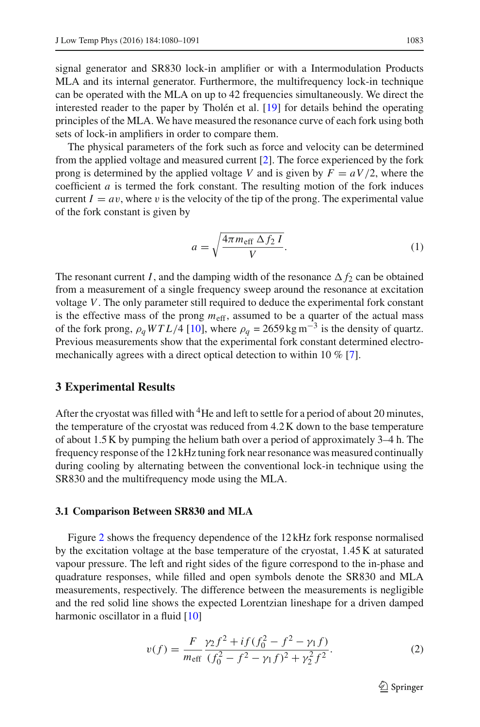signal generator and SR830 lock-in amplifier or with a Intermodulation Products MLA and its internal generator. Furthermore, the multifrequency lock-in technique can be operated with the MLA on up to 42 frequencies simultaneously. We direct the interested reader to the paper by Tholén et al. [\[19\]](#page-11-11) for details behind the operating principles of the MLA. We have measured the resonance curve of each fork using both sets of lock-in amplifiers in order to compare them.

The physical parameters of the fork such as force and velocity can be determined from the applied voltage and measured current [\[2\]](#page-10-1). The force experienced by the fork prong is determined by the applied voltage *V* and is given by  $F = aV/2$ , where the coefficient *a* is termed the fork constant. The resulting motion of the fork induces current  $I = av$ , where v is the velocity of the tip of the prong. The experimental value of the fork constant is given by

$$
a = \sqrt{\frac{4\pi m_{\text{eff}} \Delta f_2 I}{V}}.
$$
 (1)

The resonant current *I*, and the damping width of the resonance  $\Delta f_2$  can be obtained from a measurement of a single frequency sweep around the resonance at excitation voltage *V*. The only parameter still required to deduce the experimental fork constant is the effective mass of the prong  $m_{\text{eff}}$ , assumed to be a quarter of the actual mass of the fork prong,  $\rho_q WTL/4$  [\[10](#page-11-4)], where  $\rho_q = 2659 \text{ kg m}^{-3}$  is the density of quartz. Previous measurements show that the experimental fork constant determined electromechanically agrees with a direct optical detection to within 10 % [\[7\]](#page-10-4).

### **3 Experimental Results**

After the cryostat was filled with <sup>4</sup>He and left to settle for a period of about 20 minutes, the temperature of the cryostat was reduced from 4.2 K down to the base temperature of about 1.5 K by pumping the helium bath over a period of approximately 3–4 h. The frequency response of the 12 kHz tuning fork near resonance was measured continually during cooling by alternating between the conventional lock-in technique using the SR830 and the multifrequency mode using the MLA.

#### **3.1 Comparison Between SR830 and MLA**

Figure [2](#page-4-0) shows the frequency dependence of the 12 kHz fork response normalised by the excitation voltage at the base temperature of the cryostat, 1.45 K at saturated vapour pressure. The left and right sides of the figure correspond to the in-phase and quadrature responses, while filled and open symbols denote the SR830 and MLA measurements, respectively. The difference between the measurements is negligible and the red solid line shows the expected Lorentzian lineshape for a driven damped harmonic oscillator in a fluid [\[10\]](#page-11-4)

<span id="page-3-0"></span>
$$
v(f) = \frac{F}{m_{\text{eff}}} \frac{\gamma_2 f^2 + if (f_0^2 - f^2 - \gamma_1 f)}{(f_0^2 - f^2 - \gamma_1 f)^2 + \gamma_2^2 f^2}.
$$
 (2)

 $\mathcal{D}$  Springer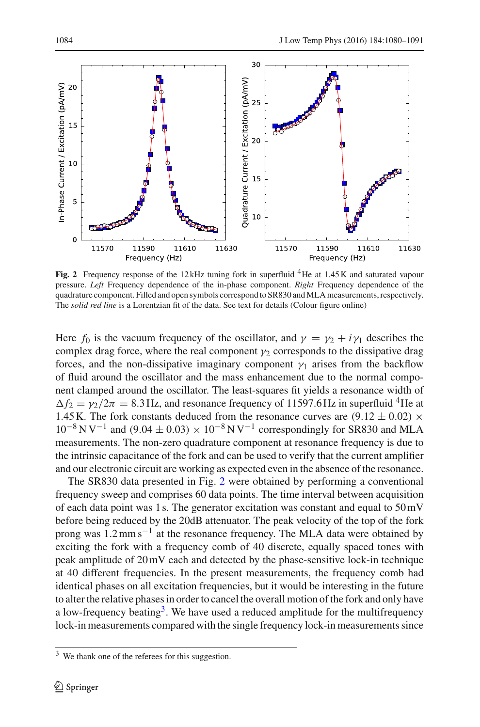

<span id="page-4-0"></span>Fig. 2 Frequency response of the 12kHz tuning fork in superfluid <sup>4</sup>He at 1.45 K and saturated vapour pressure. *Left* Frequency dependence of the in-phase component. *Right* Frequency dependence of the quadrature component. Filled and open symbols correspond to SR830 andMLA measurements, respectively. The *solid red line* is a Lorentzian fit of the data. See text for details (Colour figure online)

Here  $f_0$  is the vacuum frequency of the oscillator, and  $\gamma = \gamma_2 + i \gamma_1$  describes the complex drag force, where the real component  $\gamma_2$  corresponds to the dissipative drag forces, and the non-dissipative imaginary component  $\gamma_1$  arises from the backflow of fluid around the oscillator and the mass enhancement due to the normal component clamped around the oscillator. The least-squares fit yields a resonance width of  $\Delta f_2 = \gamma_2/2\pi = 8.3$  Hz, and resonance frequency of 11597.6 Hz in superfluid <sup>4</sup>He at 1.45 K. The fork constants deduced from the resonance curves are  $(9.12 \pm 0.02) \times$  $10^{-8}$  N V<sup>-1</sup> and (9.04  $\pm$  0.03) ×  $10^{-8}$  N V<sup>-1</sup> correspondingly for SR830 and MLA measurements. The non-zero quadrature component at resonance frequency is due to the intrinsic capacitance of the fork and can be used to verify that the current amplifier and our electronic circuit are working as expected even in the absence of the resonance.

The SR830 data presented in Fig. [2](#page-4-0) were obtained by performing a conventional frequency sweep and comprises 60 data points. The time interval between acquisition of each data point was 1 s. The generator excitation was constant and equal to 50 mV before being reduced by the 20dB attenuator. The peak velocity of the top of the fork prong was  $1.2 \text{ mm s}^{-1}$  at the resonance frequency. The MLA data were obtained by exciting the fork with a frequency comb of 40 discrete, equally spaced tones with peak amplitude of 20 mV each and detected by the phase-sensitive lock-in technique at 40 different frequencies. In the present measurements, the frequency comb had identical phases on all excitation frequencies, but it would be interesting in the future to alter the relative phases in order to cancel the overall motion of the fork and only have a low-frequency beating<sup>3</sup>. We have used a reduced amplitude for the multifrequency lock-in measurements compared with the single frequency lock-in measurements since

<span id="page-4-1"></span><sup>3</sup> We thank one of the referees for this suggestion.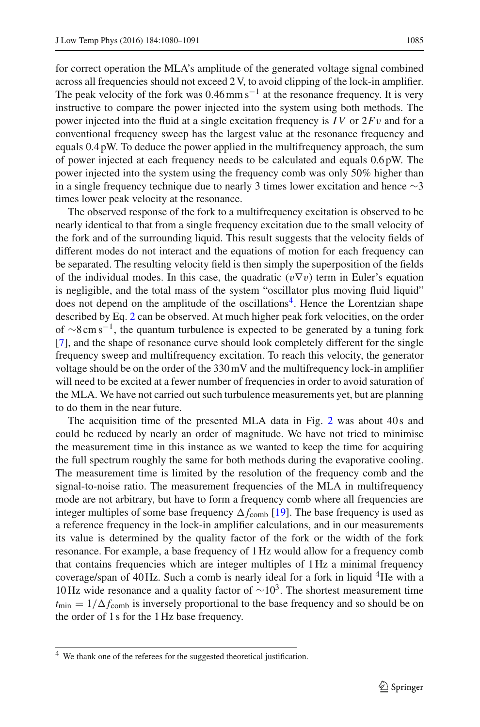for correct operation the MLA's amplitude of the generated voltage signal combined across all frequencies should not exceed 2 V, to avoid clipping of the lock-in amplifier. The peak velocity of the fork was  $0.46$  mm s<sup>-1</sup> at the resonance frequency. It is very instructive to compare the power injected into the system using both methods. The power injected into the fluid at a single excitation frequency is *I V* or 2*F*v and for a conventional frequency sweep has the largest value at the resonance frequency and equals 0.4 pW. To deduce the power applied in the multifrequency approach, the sum of power injected at each frequency needs to be calculated and equals 0.6 pW. The power injected into the system using the frequency comb was only 50% higher than in a single frequency technique due to nearly 3 times lower excitation and hence  $\sim$ 3 times lower peak velocity at the resonance.

The observed response of the fork to a multifrequency excitation is observed to be nearly identical to that from a single frequency excitation due to the small velocity of the fork and of the surrounding liquid. This result suggests that the velocity fields of different modes do not interact and the equations of motion for each frequency can be separated. The resulting velocity field is then simply the superposition of the fields of the individual modes. In this case, the quadratic  $(v\nabla v)$  term in Euler's equation is negligible, and the total mass of the system "oscillator plus moving fluid liquid" does not depend on the amplitude of the oscillations<sup>4</sup>. Hence the Lorentzian shape described by Eq. [2](#page-3-0) can be observed. At much higher peak fork velocities, on the order of ∼8 cm s<sup>-1</sup>, the quantum turbulence is expected to be generated by a tuning fork [\[7](#page-10-4)], and the shape of resonance curve should look completely different for the single frequency sweep and multifrequency excitation. To reach this velocity, the generator voltage should be on the order of the 330 mV and the multifrequency lock-in amplifier will need to be excited at a fewer number of frequencies in order to avoid saturation of the MLA. We have not carried out such turbulence measurements yet, but are planning to do them in the near future.

The acquisition time of the presented MLA data in Fig. [2](#page-4-0) was about 40s and could be reduced by nearly an order of magnitude. We have not tried to minimise the measurement time in this instance as we wanted to keep the time for acquiring the full spectrum roughly the same for both methods during the evaporative cooling. The measurement time is limited by the resolution of the frequency comb and the signal-to-noise ratio. The measurement frequencies of the MLA in multifrequency mode are not arbitrary, but have to form a frequency comb where all frequencies are integer multiples of some base frequency  $\Delta f_{\rm comb}$  [\[19\]](#page-11-11). The base frequency is used as a reference frequency in the lock-in amplifier calculations, and in our measurements its value is determined by the quality factor of the fork or the width of the fork resonance. For example, a base frequency of 1 Hz would allow for a frequency comb that contains frequencies which are integer multiples of 1 Hz a minimal frequency coverage/span of 40 Hz. Such a comb is nearly ideal for a fork in liquid  ${}^{4}$ He with a 10 Hz wide resonance and a quality factor of  $\sim 10^3$ . The shortest measurement time  $t_{\text{min}} = 1/\Delta f_{\text{comb}}$  is inversely proportional to the base frequency and so should be on the order of 1 s for the 1 Hz base frequency.

<span id="page-5-0"></span><sup>4</sup> We thank one of the referees for the suggested theoretical justification.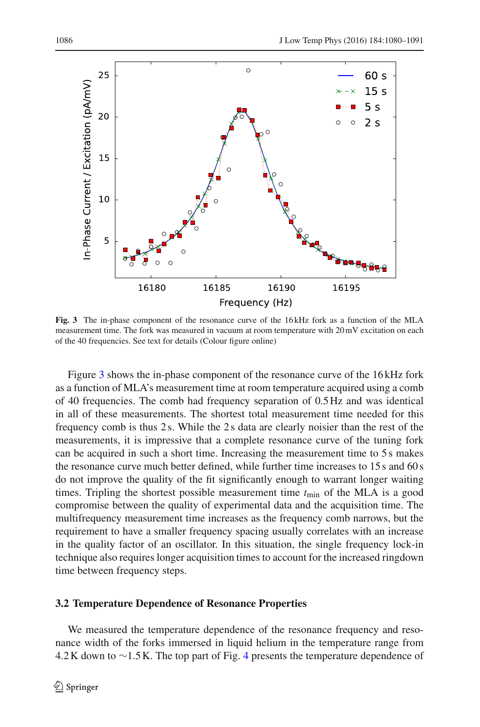

<span id="page-6-0"></span>**Fig. 3** The in-phase component of the resonance curve of the 16 kHz fork as a function of the MLA measurement time. The fork was measured in vacuum at room temperature with 20 mV excitation on each of the 40 frequencies. See text for details (Colour figure online)

Figure [3](#page-6-0) shows the in-phase component of the resonance curve of the 16 kHz fork as a function of MLA's measurement time at room temperature acquired using a comb of 40 frequencies. The comb had frequency separation of 0.5 Hz and was identical in all of these measurements. The shortest total measurement time needed for this frequency comb is thus 2 s. While the 2 s data are clearly noisier than the rest of the measurements, it is impressive that a complete resonance curve of the tuning fork can be acquired in such a short time. Increasing the measurement time to 5 s makes the resonance curve much better defined, while further time increases to 15 s and 60 s do not improve the quality of the fit significantly enough to warrant longer waiting times. Tripling the shortest possible measurement time  $t_{\text{min}}$  of the MLA is a good compromise between the quality of experimental data and the acquisition time. The multifrequency measurement time increases as the frequency comb narrows, but the requirement to have a smaller frequency spacing usually correlates with an increase in the quality factor of an oscillator. In this situation, the single frequency lock-in technique also requires longer acquisition times to account for the increased ringdown time between frequency steps.

#### **3.2 Temperature Dependence of Resonance Properties**

We measured the temperature dependence of the resonance frequency and resonance width of the forks immersed in liquid helium in the temperature range from 4.2 K down to ∼1.5 K. The top part of Fig. [4](#page-7-0) presents the temperature dependence of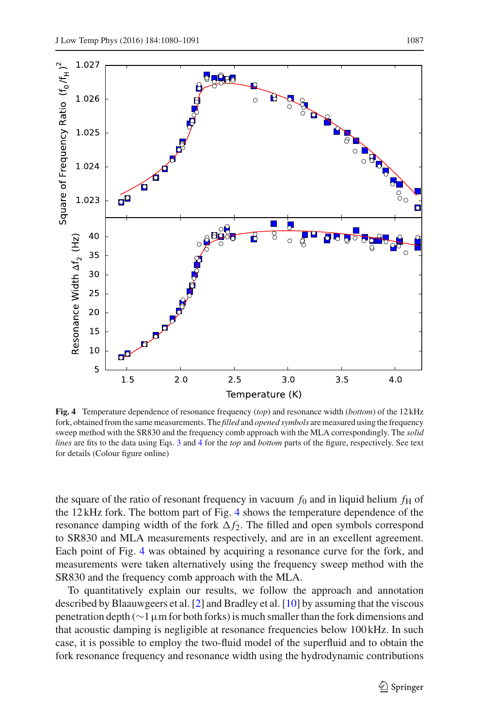

<span id="page-7-0"></span>**Fig. 4** Temperature dependence of resonance frequency (*top*) and resonance width (*bottom*) of the 12 kHz fork, obtained from the same measurements. The *filled* and *opened symbols* are measured using the frequency sweep method with the SR830 and the frequency comb approach with the MLA correspondingly. The *solid lines* are fits to the data using Eqs. [3](#page-8-0) and [4](#page-8-1) for the *top* and *bottom* parts of the figure, respectively. See text for details (Colour figure online)

the square of the ratio of resonant frequency in vacuum  $f_0$  and in liquid helium  $f_{\rm H}$  of the 12 kHz fork. The bottom part of Fig. [4](#page-7-0) shows the temperature dependence of the resonance damping width of the fork  $\Delta f_2$ . The filled and open symbols correspond to SR830 and MLA measurements respectively, and are in an excellent agreement. Each point of Fig. [4](#page-7-0) was obtained by acquiring a resonance curve for the fork, and measurements were taken alternatively using the frequency sweep method with the SR830 and the frequency comb approach with the MLA.

To quantitatively explain our results, we follow the approach and annotation described by Blaauwgeers et al. [\[2\]](#page-10-1) and Bradley et al. [\[10\]](#page-11-4) by assuming that the viscous penetration depth (∼1µm for both forks) is much smaller than the fork dimensions and that acoustic damping is negligible at resonance frequencies below 100 kHz. In such case, it is possible to employ the two-fluid model of the superfluid and to obtain the fork resonance frequency and resonance width using the hydrodynamic contributions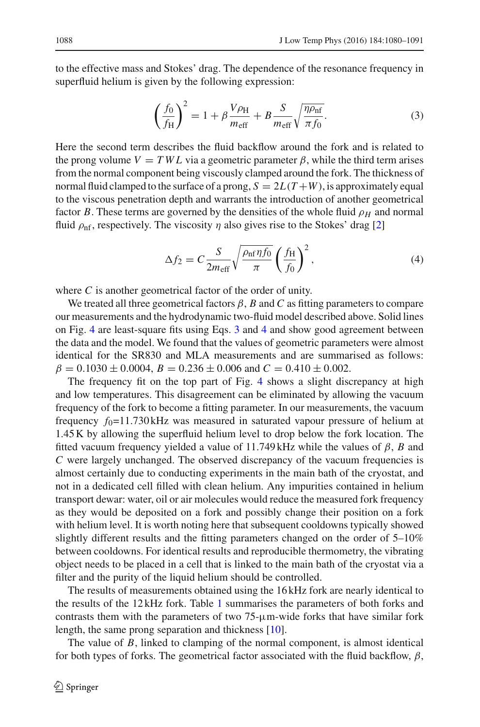to the effective mass and Stokes' drag. The dependence of the resonance frequency in superfluid helium is given by the following expression:

$$
\left(\frac{f_0}{f_{\rm H}}\right)^2 = 1 + \beta \frac{V \rho_{\rm H}}{m_{\rm eff}} + B \frac{S}{m_{\rm eff}} \sqrt{\frac{\eta \rho_{\rm nf}}{\pi f_0}}.
$$
\n(3)

<span id="page-8-0"></span>Here the second term describes the fluid backflow around the fork and is related to the prong volume  $V = TWL$  via a geometric parameter  $\beta$ , while the third term arises from the normal component being viscously clamped around the fork. The thickness of normal fluid clamped to the surface of a prong,  $S = 2L(T+W)$ , is approximately equal to the viscous penetration depth and warrants the introduction of another geometrical factor *B*. These terms are governed by the densities of the whole fluid  $\rho_H$  and normal fluid  $\rho_{\rm nf}$ , respectively. The viscosity  $\eta$  also gives rise to the Stokes' drag [\[2](#page-10-1)]

$$
\Delta f_2 = C \frac{S}{2m_{\text{eff}}} \sqrt{\frac{\rho_{\text{nf}} \eta f_0}{\pi}} \left(\frac{f_{\text{H}}}{f_0}\right)^2, \tag{4}
$$

<span id="page-8-1"></span>where *C* is another geometrical factor of the order of unity.

We treated all three geometrical factors  $\beta$ ,  $B$  and  $C$  as fitting parameters to compare our measurements and the hydrodynamic two-fluid model described above. Solid lines on Fig. [4](#page-7-0) are least-square fits using Eqs. [3](#page-8-0) and [4](#page-8-1) and show good agreement between the data and the model. We found that the values of geometric parameters were almost identical for the SR830 and MLA measurements and are summarised as follows:  $\beta = 0.1030 \pm 0.0004$ ,  $B = 0.236 \pm 0.006$  and  $C = 0.410 \pm 0.002$ .

The frequency fit on the top part of Fig. [4](#page-7-0) shows a slight discrepancy at high and low temperatures. This disagreement can be eliminated by allowing the vacuum frequency of the fork to become a fitting parameter. In our measurements, the vacuum frequency  $f_0$ =11.730 kHz was measured in saturated vapour pressure of helium at 1.45 K by allowing the superfluid helium level to drop below the fork location. The fitted vacuum frequency yielded a value of 11.749 kHz while the values of  $\beta$ , *B* and *C* were largely unchanged. The observed discrepancy of the vacuum frequencies is almost certainly due to conducting experiments in the main bath of the cryostat, and not in a dedicated cell filled with clean helium. Any impurities contained in helium transport dewar: water, oil or air molecules would reduce the measured fork frequency as they would be deposited on a fork and possibly change their position on a fork with helium level. It is worth noting here that subsequent cooldowns typically showed slightly different results and the fitting parameters changed on the order of 5–10% between cooldowns. For identical results and reproducible thermometry, the vibrating object needs to be placed in a cell that is linked to the main bath of the cryostat via a filter and the purity of the liquid helium should be controlled.

The results of measurements obtained using the 16 kHz fork are nearly identical to the results of the 12 kHz fork. Table [1](#page-9-0) summarises the parameters of both forks and contrasts them with the parameters of two  $75-\mu m$ -wide forks that have similar fork length, the same prong separation and thickness [\[10](#page-11-4)].

The value of *B*, linked to clamping of the normal component, is almost identical for both types of forks. The geometrical factor associated with the fluid backflow,  $\beta$ ,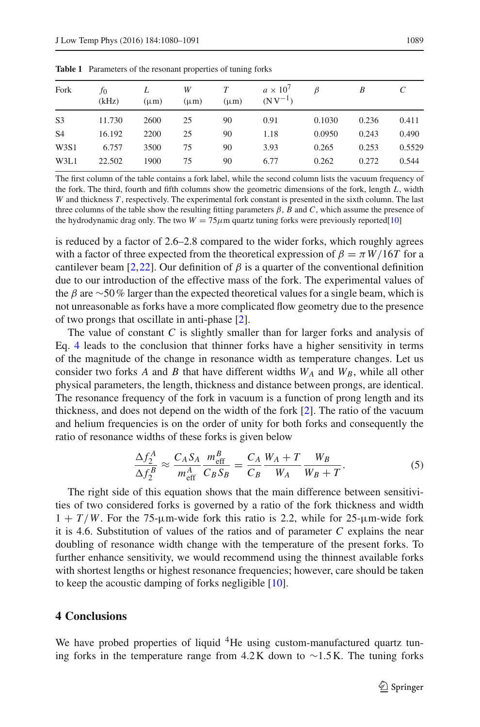<span id="page-9-0"></span>

| Fork           | JО<br>(kHz) | L<br>$(\mu m)$ | W<br>$(\mu m)$ | $(\mu m)$ | $a \times 10^{7}$<br>$(NV^{-1})$ | ß      | B     |        |
|----------------|-------------|----------------|----------------|-----------|----------------------------------|--------|-------|--------|
| S <sub>3</sub> | 11.730      | 2600           | 25             | 90        | 0.91                             | 0.1030 | 0.236 | 0.411  |
| S <sub>4</sub> | 16.192      | 2200           | 25             | 90        | 1.18                             | 0.0950 | 0.243 | 0.490  |
| W3S1           | 6.757       | 3500           | 75             | 90        | 3.93                             | 0.265  | 0.253 | 0.5529 |
| W3L1           | 22.502      | 1900           | 75             | 90        | 6.77                             | 0.262  | 0.272 | 0.544  |

**Table 1** Parameters of the resonant properties of tuning forks

The first column of the table contains a fork label, while the second column lists the vacuum frequency of the fork. The third, fourth and fifth columns show the geometric dimensions of the fork, length *L*, width *W* and thickness *T* , respectively. The experimental fork constant is presented in the sixth column. The last three columns of the table show the resulting fitting parameters  $\beta$ , *B* and *C*, which assume the presence of the hydrodynamic drag only. The two  $W = 75 \mu m$  quartz tuning forks were previously reported[\[10](#page-11-4)]

is reduced by a factor of 2.6–2.8 compared to the wider forks, which roughly agrees with a factor of three expected from the theoretical expression of  $\beta = \pi W/16T$  for a cantilever beam [\[2](#page-10-1),[22\]](#page-11-14). Our definition of  $\beta$  is a quarter of the conventional definition due to our introduction of the effective mass of the fork. The experimental values of the  $\beta$  are ∼50% larger than the expected theoretical values for a single beam, which is not unreasonable as forks have a more complicated flow geometry due to the presence of two prongs that oscillate in anti-phase [\[2\]](#page-10-1).

The value of constant *C* is slightly smaller than for larger forks and analysis of Eq. [4](#page-8-1) leads to the conclusion that thinner forks have a higher sensitivity in terms of the magnitude of the change in resonance width as temperature changes. Let us consider two forks *A* and *B* that have different widths  $W_A$  and  $W_B$ , while all other physical parameters, the length, thickness and distance between prongs, are identical. The resonance frequency of the fork in vacuum is a function of prong length and its thickness, and does not depend on the width of the fork [\[2\]](#page-10-1). The ratio of the vacuum and helium frequencies is on the order of unity for both forks and consequently the ratio of resonance widths of these forks is given below

$$
\frac{\Delta f_2^A}{\Delta f_2^B} \approx \frac{C_A S_A}{m_{\text{eff}}^A} \frac{m_{\text{eff}}^B}{C_B S_B} = \frac{C_A}{C_B} \frac{W_A + T}{W_A} \frac{W_B}{W_B + T}.
$$
(5)

The right side of this equation shows that the main difference between sensitivities of two considered forks is governed by a ratio of the fork thickness and width  $1 + T/W$ . For the 75-µm-wide fork this ratio is 2.2, while for 25-µm-wide fork it is 4.6. Substitution of values of the ratios and of parameter *C* explains the near doubling of resonance width change with the temperature of the present forks. To further enhance sensitivity, we would recommend using the thinnest available forks with shortest lengths or highest resonance frequencies; however, care should be taken to keep the acoustic damping of forks negligible [\[10\]](#page-11-4).

## **4 Conclusions**

We have probed properties of liquid <sup>4</sup>He using custom-manufactured quartz tuning forks in the temperature range from 4.2 K down to ∼1.5 K. The tuning forks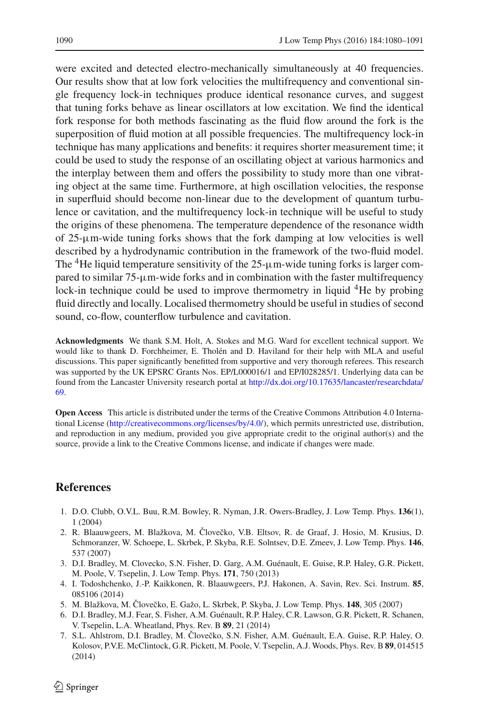were excited and detected electro-mechanically simultaneously at 40 frequencies. Our results show that at low fork velocities the multifrequency and conventional single frequency lock-in techniques produce identical resonance curves, and suggest that tuning forks behave as linear oscillators at low excitation. We find the identical fork response for both methods fascinating as the fluid flow around the fork is the superposition of fluid motion at all possible frequencies. The multifrequency lock-in technique has many applications and benefits: it requires shorter measurement time; it could be used to study the response of an oscillating object at various harmonics and the interplay between them and offers the possibility to study more than one vibrating object at the same time. Furthermore, at high oscillation velocities, the response in superfluid should become non-linear due to the development of quantum turbulence or cavitation, and the multifrequency lock-in technique will be useful to study the origins of these phenomena. The temperature dependence of the resonance width of  $25-\mu m$ -wide tuning forks shows that the fork damping at low velocities is well described by a hydrodynamic contribution in the framework of the two-fluid model. The  ${}^{4}$ He liquid temperature sensitivity of the 25- $\mu$ m-wide tuning forks is larger compared to similar  $75-\mu$ m-wide forks and in combination with the faster multifrequency lock-in technique could be used to improve thermometry in liquid <sup>4</sup>He by probing fluid directly and locally. Localised thermometry should be useful in studies of second sound, co-flow, counterflow turbulence and cavitation.

**Acknowledgments** We thank S.M. Holt, A. Stokes and M.G. Ward for excellent technical support. We would like to thank D. Forchheimer, E. Tholén and D. Haviland for their help with MLA and useful discussions. This paper significantly benefitted from supportive and very thorough referees. This research was supported by the UK EPSRC Grants Nos. EP/L000016/1 and EP/I028285/1. Underlying data can be found from the Lancaster University research portal at [http://dx.doi.org/10.17635/lancaster/researchdata/](http://dx.doi.org/10.17635/lancaster/researchdata/69) [69.](http://dx.doi.org/10.17635/lancaster/researchdata/69)

**Open Access** This article is distributed under the terms of the Creative Commons Attribution 4.0 International License [\(http://creativecommons.org/licenses/by/4.0/\)](http://creativecommons.org/licenses/by/4.0/), which permits unrestricted use, distribution, and reproduction in any medium, provided you give appropriate credit to the original author(s) and the source, provide a link to the Creative Commons license, and indicate if changes were made.

# **References**

- <span id="page-10-0"></span>1. D.O. Clubb, O.V.L. Buu, R.M. Bowley, R. Nyman, J.R. Owers-Bradley, J. Low Temp. Phys. **136**(1), 1 (2004)
- <span id="page-10-1"></span>2. R. Blaauwgeers, M. Blažkova, M. Človečko, V.B. Eltsov, R. de Graaf, J. Hosio, M. Krusius, D. Schmoranzer, W. Schoepe, L. Skrbek, P. Skyba, R.E. Solntsev, D.E. Zmeev, J. Low Temp. Phys. **146**, 537 (2007)
- 3. D.I. Bradley, M. Clovecko, S.N. Fisher, D. Garg, A.M. Guénault, E. Guise, R.P. Haley, G.R. Pickett, M. Poole, V. Tsepelin, J. Low Temp. Phys. **171**, 750 (2013)
- <span id="page-10-2"></span>4. I. Todoshchenko, J.-P. Kaikkonen, R. Blaauwgeers, P.J. Hakonen, A. Savin, Rev. Sci. Instrum. **85**, 085106 (2014)
- 5. M. Blažkova, M. Cloveˇ ˇ cko, E. Gažo, L. Skrbek, P. Skyba, J. Low Temp. Phys. **148**, 305 (2007)
- <span id="page-10-3"></span>6. D.I. Bradley, M.J. Fear, S. Fisher, A.M. Guénault, R.P. Haley, C.R. Lawson, G.R. Pickett, R. Schanen, V. Tsepelin, L.A. Wheatland, Phys. Rev. B **89**, 21 (2014)
- <span id="page-10-4"></span>7. S.L. Ahlstrom, D.I. Bradley, M. Človečko, S.N. Fisher, A.M. Guénault, E.A. Guise, R.P. Haley, O. Kolosov, P.V.E. McClintock, G.R. Pickett, M. Poole, V. Tsepelin, A.J. Woods, Phys. Rev. B **89**, 014515 (2014)